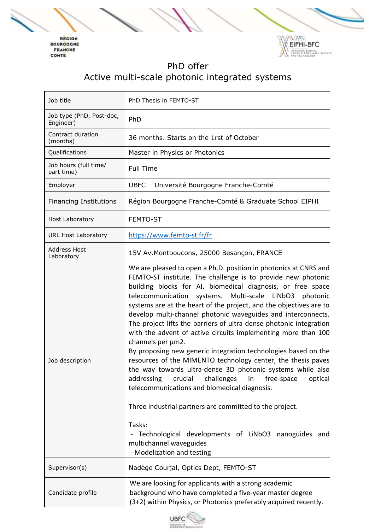



## PhD offer Active multi-scale photonic integrated systems

| Job title                             | PhD Thesis in FEMTO-ST                                                                                                                                                                                                                                                                                                                                                                                                                                                                                                                                                                                                                                                                                                                                                                                                                                                                                                                                                                                                                                                       |
|---------------------------------------|------------------------------------------------------------------------------------------------------------------------------------------------------------------------------------------------------------------------------------------------------------------------------------------------------------------------------------------------------------------------------------------------------------------------------------------------------------------------------------------------------------------------------------------------------------------------------------------------------------------------------------------------------------------------------------------------------------------------------------------------------------------------------------------------------------------------------------------------------------------------------------------------------------------------------------------------------------------------------------------------------------------------------------------------------------------------------|
| Job type (PhD, Post-doc,<br>Engineer) | PhD                                                                                                                                                                                                                                                                                                                                                                                                                                                                                                                                                                                                                                                                                                                                                                                                                                                                                                                                                                                                                                                                          |
| Contract duration<br>(months)         | 36 months. Starts on the 1rst of October                                                                                                                                                                                                                                                                                                                                                                                                                                                                                                                                                                                                                                                                                                                                                                                                                                                                                                                                                                                                                                     |
| Qualifications                        | Master in Physics or Photonics                                                                                                                                                                                                                                                                                                                                                                                                                                                                                                                                                                                                                                                                                                                                                                                                                                                                                                                                                                                                                                               |
| Job hours (full time/<br>part time)   | <b>Full Time</b>                                                                                                                                                                                                                                                                                                                                                                                                                                                                                                                                                                                                                                                                                                                                                                                                                                                                                                                                                                                                                                                             |
| Employer                              | <b>UBFC</b><br>Université Bourgogne Franche-Comté                                                                                                                                                                                                                                                                                                                                                                                                                                                                                                                                                                                                                                                                                                                                                                                                                                                                                                                                                                                                                            |
| <b>Financing Institutions</b>         | Région Bourgogne Franche-Comté & Graduate School EIPHI                                                                                                                                                                                                                                                                                                                                                                                                                                                                                                                                                                                                                                                                                                                                                                                                                                                                                                                                                                                                                       |
| Host Laboratory                       | FEMTO-ST                                                                                                                                                                                                                                                                                                                                                                                                                                                                                                                                                                                                                                                                                                                                                                                                                                                                                                                                                                                                                                                                     |
| <b>URL Host Laboratory</b>            | https://www.femto-st.fr/fr                                                                                                                                                                                                                                                                                                                                                                                                                                                                                                                                                                                                                                                                                                                                                                                                                                                                                                                                                                                                                                                   |
| <b>Address Host</b><br>Laboratory     | 15V Av.Montboucons, 25000 Besançon, FRANCE                                                                                                                                                                                                                                                                                                                                                                                                                                                                                                                                                                                                                                                                                                                                                                                                                                                                                                                                                                                                                                   |
| Job description                       | We are pleased to open a Ph.D. position in photonics at CNRS and<br>FEMTO-ST institute. The challenge is to provide new photonic<br>building blocks for AI, biomedical diagnosis, or free space<br>systems. Multi-scale LiNbO3 photonic<br>telecommunication<br>systems are at the heart of the project, and the objectives are to<br>develop multi-channel photonic waveguides and interconnects.<br>The project lifts the barriers of ultra-dense photonic integration<br>with the advent of active circuits implementing more than 100<br>channels per µm2.<br>By proposing new generic integration technologies based on the<br>resources of the MIMENTO technology center, the thesis paves<br>the way towards ultra-dense 3D photonic systems while also<br>addressing<br>crucial<br>challenges<br>optical<br>free-space<br>in<br>telecommunications and biomedical diagnosis.<br>Three industrial partners are committed to the project.<br>Tasks:<br>Technological developments of LiNbO3 nanoguides<br>and<br>multichannel waveguides<br>- Modelization and testing |
| Supervisor(s)                         | Nadège Courjal, Optics Dept, FEMTO-ST                                                                                                                                                                                                                                                                                                                                                                                                                                                                                                                                                                                                                                                                                                                                                                                                                                                                                                                                                                                                                                        |
| Candidate profile                     | We are looking for applicants with a strong academic<br>background who have completed a five-year master degree<br>(3+2) within Physics, or Photonics preferably acquired recently.                                                                                                                                                                                                                                                                                                                                                                                                                                                                                                                                                                                                                                                                                                                                                                                                                                                                                          |